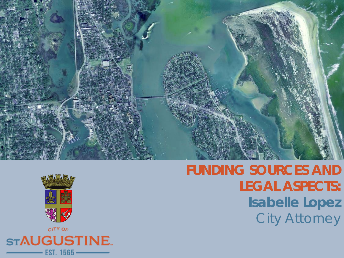



**FUNDING SOURCES AND LEGAL ASPECTS: Isabelle Lopez** City Attorney

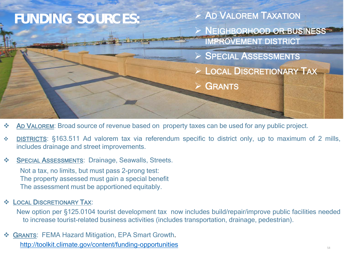

- **AD VALOREM:** Broad source of revenue based on property taxes can be used for any public project.
- DISTRICTS: §163.511 Ad valorem tax via referendum specific to district only, up to maximum of 2 mills, includes drainage and street improvements.

#### **SPECIAL ASSESSMENTS: Drainage, Seawalls, Streets.**

Not a tax, no limits, but must pass 2-prong test: The property assessed must gain a special benefit The assessment must be apportioned equitably.

### **EDCAL DISCRETIONARY TAX:**

New option per §125.0104 tourist development tax now includes build/repair/improve public facilities needed to increase tourist-related business activities (includes transportation, drainage, pedestrian).

 GRANTS: FEMA Hazard Mitigation, EPA Smart Growth. <http://toolkit.climate.gov/content/funding-opportunities>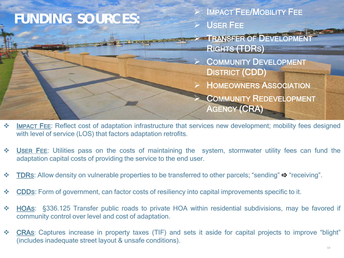

- \* IMPACT FEE: Reflect cost of adaptation infrastructure that services new development; mobility fees designed with level of service (LOS) that factors adaptation retrofits.
- USER FEE: Utilities pass on the costs of maintaining the system, stormwater utility fees can fund the adaptation capital costs of providing the service to the end user.
- **TDRs:** Allow density on vulnerable properties to be transferred to other parcels; "sending"  $\Rightarrow$  "receiving".
- CDDS: Form of government, can factor costs of resiliency into capital improvements specific to it.
- HOAS: §336.125 Transfer public roads to private HOA within residential subdivisions, may be favored if community control over level and cost of adaptation.
- CRAS: Captures increase in property taxes (TIF) and sets it aside for capital projects to improve "blight" (includes inadequate street layout & unsafe conditions).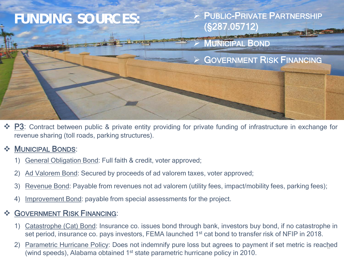

◆ P3: Contract between public & private entity providing for private funding of infrastructure in exchange for revenue sharing (toll roads, parking structures).

## **MUNICIPAL BONDS:**

- 1) General Obligation Bond: Full faith & credit, voter approved;
- 2) Ad Valorem Bond: Secured by proceeds of ad valorem taxes, voter approved;
- 3) Revenue Bond: Payable from revenues not ad valorem (utility fees, impact/mobility fees, parking fees);
- 4) Improvement Bond: payable from special assessments for the project.

## **SOVERNMENT RISK FINANCING:**

- 1) Catastrophe (Cat) Bond: Insurance co. issues bond through bank, investors buy bond, if no catastrophe in set period, insurance co. pays investors, FEMA launched 1<sup>st</sup> cat bond to transfer risk of NFIP in 2018.
- 2) Parametric Hurricane Policy: Does not indemnify pure loss but agrees to payment if set metric is reached (wind speeds), Alabama obtained 1<sup>st</sup> state parametric hurricane policy in 2010.